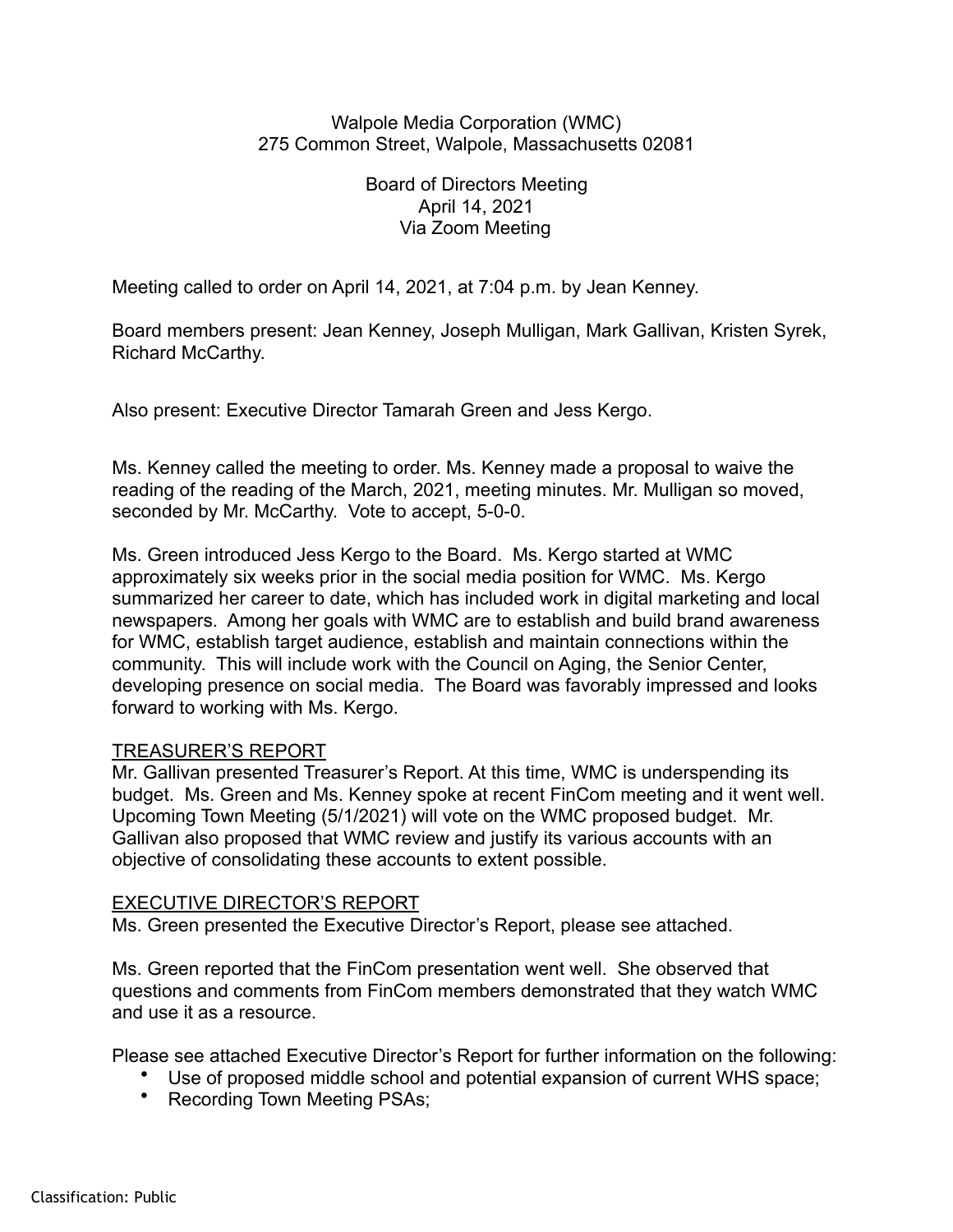### Walpole Media Corporation (WMC) 275 Common Street, Walpole, Massachusetts 02081

# Board of Directors Meeting April 14, 2021 Via Zoom Meeting

Meeting called to order on April 14, 2021, at 7:04 p.m. by Jean Kenney.

Board members present: Jean Kenney, Joseph Mulligan, Mark Gallivan, Kristen Syrek, Richard McCarthy.

Also present: Executive Director Tamarah Green and Jess Kergo.

Ms. Kenney called the meeting to order. Ms. Kenney made a proposal to waive the reading of the reading of the March, 2021, meeting minutes. Mr. Mulligan so moved, seconded by Mr. McCarthy. Vote to accept, 5-0-0.

Ms. Green introduced Jess Kergo to the Board. Ms. Kergo started at WMC approximately six weeks prior in the social media position for WMC. Ms. Kergo summarized her career to date, which has included work in digital marketing and local newspapers. Among her goals with WMC are to establish and build brand awareness for WMC, establish target audience, establish and maintain connections within the community. This will include work with the Council on Aging, the Senior Center, developing presence on social media. The Board was favorably impressed and looks forward to working with Ms. Kergo.

# TREASURER'S REPORT

Mr. Gallivan presented Treasurer's Report. At this time, WMC is underspending its budget. Ms. Green and Ms. Kenney spoke at recent FinCom meeting and it went well. Upcoming Town Meeting (5/1/2021) will vote on the WMC proposed budget. Mr. Gallivan also proposed that WMC review and justify its various accounts with an objective of consolidating these accounts to extent possible.

# EXECUTIVE DIRECTOR'S REPORT

Ms. Green presented the Executive Director's Report, please see attached.

Ms. Green reported that the FinCom presentation went well. She observed that questions and comments from FinCom members demonstrated that they watch WMC and use it as a resource.

Please see attached Executive Director's Report for further information on the following:

- Use of proposed middle school and potential expansion of current WHS space;
- Recording Town Meeting PSAs;